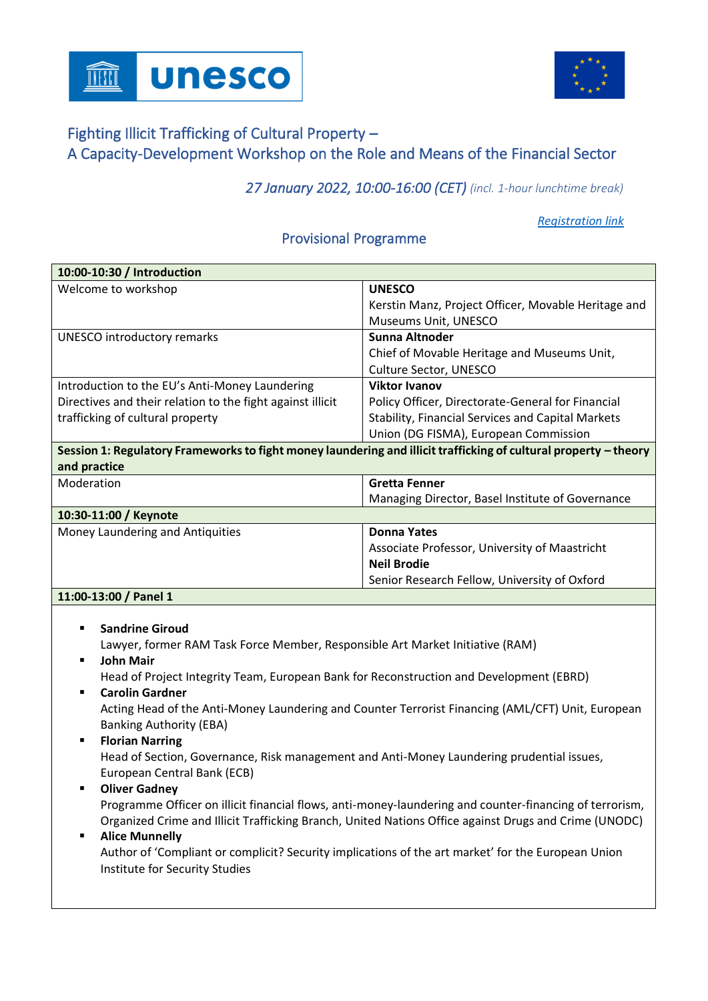



## Fighting Illicit Trafficking of Cultural Property – A Capacity-Development Workshop on the Role and Means of the Financial Sector

*27 January 2022, 10:00-16:00 (CET) (incl. 1-hour lunchtime break)*

*[Registration link](https://unesco-org.zoom.us/webinar/register/WN_3kwXbOe_QmKasbBsBGe2hQ)*

## Provisional Programme

| 10:00-10:30 / Introduction                                                                                       |                                                          |  |
|------------------------------------------------------------------------------------------------------------------|----------------------------------------------------------|--|
| Welcome to workshop                                                                                              | <b>UNESCO</b>                                            |  |
|                                                                                                                  | Kerstin Manz, Project Officer, Movable Heritage and      |  |
|                                                                                                                  | Museums Unit, UNESCO                                     |  |
| <b>UNESCO introductory remarks</b>                                                                               | Sunna Altnoder                                           |  |
|                                                                                                                  | Chief of Movable Heritage and Museums Unit,              |  |
|                                                                                                                  | Culture Sector, UNESCO                                   |  |
| Introduction to the EU's Anti-Money Laundering                                                                   | <b>Viktor Ivanov</b>                                     |  |
| Directives and their relation to the fight against illicit                                                       | Policy Officer, Directorate-General for Financial        |  |
| trafficking of cultural property                                                                                 | <b>Stability, Financial Services and Capital Markets</b> |  |
|                                                                                                                  | Union (DG FISMA), European Commission                    |  |
| Session 1: Regulatory Frameworks to fight money laundering and illicit trafficking of cultural property – theory |                                                          |  |
| and practice                                                                                                     |                                                          |  |
| Moderation                                                                                                       | <b>Gretta Fenner</b>                                     |  |
|                                                                                                                  | Managing Director, Basel Institute of Governance         |  |
| 10:30-11:00 / Keynote                                                                                            |                                                          |  |
| Money Laundering and Antiquities                                                                                 | <b>Donna Yates</b>                                       |  |
|                                                                                                                  | Associate Professor, University of Maastricht            |  |
|                                                                                                                  | <b>Neil Brodie</b>                                       |  |
|                                                                                                                  | Senior Research Fellow, University of Oxford             |  |
| 11:00-13:00 / Panel 1                                                                                            |                                                          |  |
|                                                                                                                  |                                                          |  |
| <b>Sandrine Giroud</b>                                                                                           |                                                          |  |
| Lawyer, former RAM Task Force Member, Responsible Art Market Initiative (RAM).                                   |                                                          |  |

Lawyer, former RAM Task Force Member, Responsible Art Market Initiative (RAM) **John Mair** 

Head of Project Integrity Team, European Bank for Reconstruction and Development (EBRD)

**Carolin Gardner** 

Acting Head of the Anti-Money Laundering and Counter Terrorist Financing (AML/CFT) Unit, European Banking Authority (EBA)

**Florian Narring** 

Head of Section, Governance, Risk management and Anti-Money Laundering prudential issues, European Central Bank (ECB)

▪ **Oliver Gadney** Programme Officer on illicit financial flows, anti-money-laundering and counter-financing of terrorism, Organized Crime and Illicit Trafficking Branch, United Nations Office against Drugs and Crime (UNODC)

## ▪ **Alice Munnelly**

Author of 'Compliant or complicit? Security implications of the art market' for the European Union Institute for Security Studies